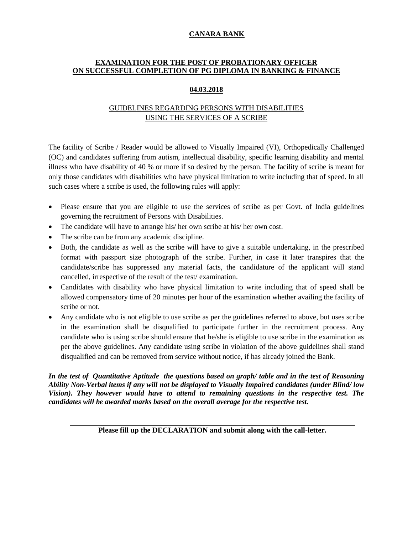# **CANARA BANK**

## **EXAMINATION FOR THE POST OF PROBATIONARY OFFICER ON SUCCESSFUL COMPLETION OF PG DIPLOMA IN BANKING & FINANCE**

### **04.03.2018**

# GUIDELINES REGARDING PERSONS WITH DISABILITIES USING THE SERVICES OF A SCRIBE

The facility of Scribe / Reader would be allowed to Visually Impaired (VI), Orthopedically Challenged (OC) and candidates suffering from autism, intellectual disability, specific learning disability and mental illness who have disability of 40 % or more if so desired by the person. The facility of scribe is meant for only those candidates with disabilities who have physical limitation to write including that of speed. In all such cases where a scribe is used, the following rules will apply:

- Please ensure that you are eligible to use the services of scribe as per Govt. of India guidelines governing the recruitment of Persons with Disabilities.
- The candidate will have to arrange his/ her own scribe at his/ her own cost.
- The scribe can be from any academic discipline.
- Both, the candidate as well as the scribe will have to give a suitable undertaking, in the prescribed format with passport size photograph of the scribe. Further, in case it later transpires that the candidate/scribe has suppressed any material facts, the candidature of the applicant will stand cancelled, irrespective of the result of the test/ examination.
- Candidates with disability who have physical limitation to write including that of speed shall be allowed compensatory time of 20 minutes per hour of the examination whether availing the facility of scribe or not.
- Any candidate who is not eligible to use scribe as per the guidelines referred to above, but uses scribe in the examination shall be disqualified to participate further in the recruitment process. Any candidate who is using scribe should ensure that he/she is eligible to use scribe in the examination as per the above guidelines. Any candidate using scribe in violation of the above guidelines shall stand disqualified and can be removed from service without notice, if has already joined the Bank.

#### *In the test of Quantitative Aptitude the questions based on graph/ table and in the test of Reasoning Ability Non-Verbal items if any will not be displayed to Visually Impaired candidates (under Blind/ low Vision). They however would have to attend to remaining questions in the respective test. The candidates will be awarded marks based on the overall average for the respective test.*

# **Please fill up the DECLARATION and submit along with the call-letter.**